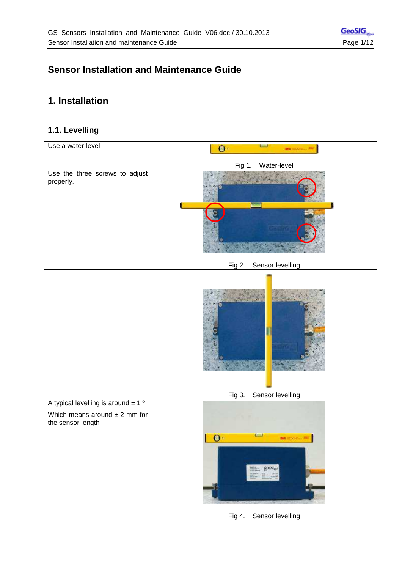# **Sensor Installation and Maintenance Guide**

## **1. Installation**

| 1.1. Levelling                                                                                               |                                                                     |
|--------------------------------------------------------------------------------------------------------------|---------------------------------------------------------------------|
| Use a water-level                                                                                            | $\bullet$<br><b>BM</b> EDGES & RM                                   |
|                                                                                                              | Water-level<br>Fig 1.                                               |
| Use the three screws to adjust<br>properly.                                                                  |                                                                     |
|                                                                                                              | Sensor levelling<br>Fig 2.                                          |
|                                                                                                              |                                                                     |
|                                                                                                              | Sensor levelling<br>Fig 3.                                          |
| A typical levelling is around $\pm 1$ <sup>o</sup><br>Which means around $\pm$ 2 mm for<br>the sensor length | —<br>$\bullet$<br><b>BW EDGER</b> + <sup>BL</sup><br><b>Geology</b> |
|                                                                                                              | Sensor levelling<br>Fig 4.                                          |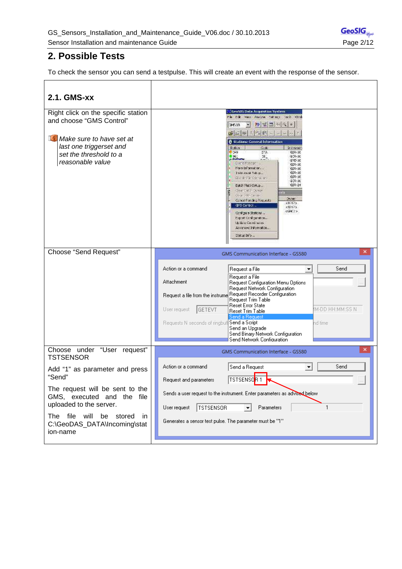## **2. Possible Tests**

To check the sensor you can send a testpulse. This will create an event with the response of the sensor.

| 2.1. GMS-xx                                                                                                                                                                       |                                                                                                                                                                                                                                                                                                                                                                                                                                                                                                                                                                                                                                                                                                 |
|-----------------------------------------------------------------------------------------------------------------------------------------------------------------------------------|-------------------------------------------------------------------------------------------------------------------------------------------------------------------------------------------------------------------------------------------------------------------------------------------------------------------------------------------------------------------------------------------------------------------------------------------------------------------------------------------------------------------------------------------------------------------------------------------------------------------------------------------------------------------------------------------------|
| Right click on the specific station<br>and choose "GMS Control"<br>$\mathbb{L}$ Make sure to have set at<br>last one triggerset and<br>set the threshold to a<br>reasonable value | <b>GeoSIGData Acquisition System</b><br>his this year energy heather tools wind<br>● 西西川文●<br>74518<br>圖<br>唐西顿 计直径<br>8 Stations: General Information<br>station.<br>Code<br>In zouner<br>0.049<br>STA.<br>$658 - 10$<br><u>ь.</u><br>巩<br>909-10<br>645-10<br>Dient Mentgel<br>$G57 - 10$<br>Nore Information<br>$657 - 10$<br>Indicated Sidep<br>$657 - 10$<br>$G27 - 10$<br>Discolo File Operations<br>909-10<br>653-24<br>Batch MathSetup<br>Kilden Catch Dubber<br>Close, 1981 Carloss<br>District:<br>Concel Pending Requests<br>$1012$<br>GVS Control<br>\$32175<br>09805<br>Configure Stellons<br>Export Configuration<br>Up date Cooled nation<br>Advanced Information<br>Status Info |
| Choose "Send Request"                                                                                                                                                             | ×<br>GMS Communication Interface - GS580<br>Action or a command<br>Send<br>Request a File<br>▼<br>Request a File<br>Attachment<br>Request Configuration Menu Options<br>Request Network Configuration<br>Request Recorder Configuration<br>Request a file from the instrume<br>Request Trim Table<br>Reset Error State<br>IM-DD HH:MM:SS N<br><b>GETEVT</b><br>User request<br>Reset Trim Table<br>Send a Request<br>Requests N seconds of ringbuf Send a Script<br>nd time<br>Send an Upgrade<br>Send Binary Network Configuration<br>Send Network Configuration                                                                                                                               |
| Choose under "User request"<br><b>TSTSENSOR</b>                                                                                                                                   | ×<br>GMS Communication Interface - GS580                                                                                                                                                                                                                                                                                                                                                                                                                                                                                                                                                                                                                                                        |
| Add "1" as parameter and press<br>"Send"<br>The request will be sent to the<br>GMS, executed and the file<br>uploaded to the server.                                              | Send<br>Action or a command<br>Send a Request<br>▼<br><b>TSTSENSOR 1</b><br>Request and parameters<br>Sends a user request to the instrument. Enter parameters as advised below<br>TSTSENSOR<br>1<br>Parameters<br>User request                                                                                                                                                                                                                                                                                                                                                                                                                                                                 |
| The file will<br>be stored<br>in<br>C:\GeoDAS_DATA\Incoming\stat<br>ion-name                                                                                                      | Generates a sensor test pulse. The parameter must be "1"                                                                                                                                                                                                                                                                                                                                                                                                                                                                                                                                                                                                                                        |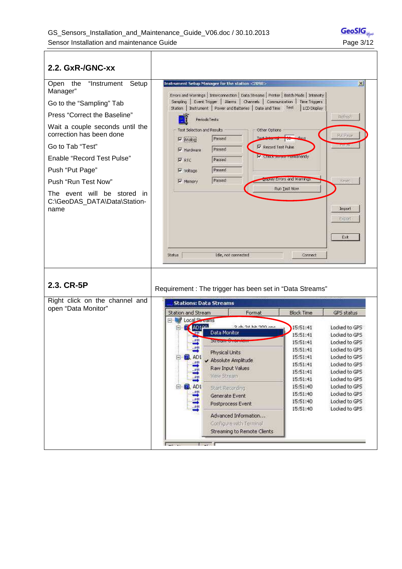$\mathsf{r}$ 

| 2.2. GxR-/GNC-xx                                                                                                                                                                                                                                                                                                                                       |                                                                                                                                                                                                                                                                                                                                                                                                                                                                                                                                                                                                                                                                                                                                                                                                                                                                  |
|--------------------------------------------------------------------------------------------------------------------------------------------------------------------------------------------------------------------------------------------------------------------------------------------------------------------------------------------------------|------------------------------------------------------------------------------------------------------------------------------------------------------------------------------------------------------------------------------------------------------------------------------------------------------------------------------------------------------------------------------------------------------------------------------------------------------------------------------------------------------------------------------------------------------------------------------------------------------------------------------------------------------------------------------------------------------------------------------------------------------------------------------------------------------------------------------------------------------------------|
| Open the<br>"Instrument<br>Setup<br>Manager"<br>Go to the "Sampling" Tab<br>Press "Correct the Baseline"<br>Wait a couple seconds until the<br>correction has been done<br>Go to Tab "Test"<br><b>Enable "Record Test Pulse"</b><br>Push "Put Page"<br>Push "Run Test Now"<br>The event will be stored<br>- in<br>C:\GeoDAS_DATA\Data\Station-<br>name | Instrument Setup Manager for the station <2098><br>$\times$<br>Errors and Warnings   Interconnection   Data Streams   Printer   Batch Mode   Intensity  <br>Sampling   Event Trigger   Alarms   Channels   Communication   Time Triggers<br>Station   Instrument   Power and Baltieries   Date and Time   Test<br>LCD Display<br>Refrest<br>PeriodicTests<br>- Test Selection and Results<br>Other Options<br>Pul Paue<br>Passed<br>Tour and retail pro<br>IV Analogi<br>12330544<br>V Record Test Pulse<br>Passed<br>Hardware<br>M. Checkbonour retmanently<br><b>V</b> RTC<br>Passed<br>Passed<br>$\triangleright$ voltage<br>Lasurey Errors and Warnings<br>Passed<br>Reser<br>V Memory<br>Run Test Now<br>Import<br>Export<br>Ext<br>Status<br>(dle, not connected<br>Connect                                                                                |
| 2.3. CR-5P                                                                                                                                                                                                                                                                                                                                             | Requirement: The trigger has been set in "Data Streams"                                                                                                                                                                                                                                                                                                                                                                                                                                                                                                                                                                                                                                                                                                                                                                                                          |
| Right click on the channel and<br>open "Data Monitor"                                                                                                                                                                                                                                                                                                  | <b>Stations: Data Streams</b><br>Station and Stream<br><b>Block Time</b><br>Format<br>GPS status<br><b>Local Streams</b><br>AD160<br>2-5.24 53.200 cmc<br>15:51:41<br>Locked to GPS<br>Data Monitor<br>15:51:41<br>Locked to GPS<br><b>Discoursements</b><br>15:51:41<br>Locked to GPS<br>.011<br>Locked to GPS<br>15:51:41<br>Physical Units<br>日 <b>目 AD1</b><br>15:51:41<br>Locked to GPS<br>Absolute Amplitude<br>1111<br>Locked to GPS<br>15:51:41<br>Raw Input Values<br>15:51:41<br>Locked to GPS<br>View Stream<br>15:51:41<br>Locked to GPS<br>白 <b>目 AD1</b><br>15:51:40<br>Locked to GPS<br>Start Recording<br>电电路<br>Locked to GPS<br>15:51:40<br>Generate Event<br>Locked to GPS<br>15:51:40<br>Postprocess Event<br>Locked to GPS<br>15:51:40<br>Advanced Information<br>Configure with Terminal<br>Streaming to Remote Clients<br><b>Contract</b> |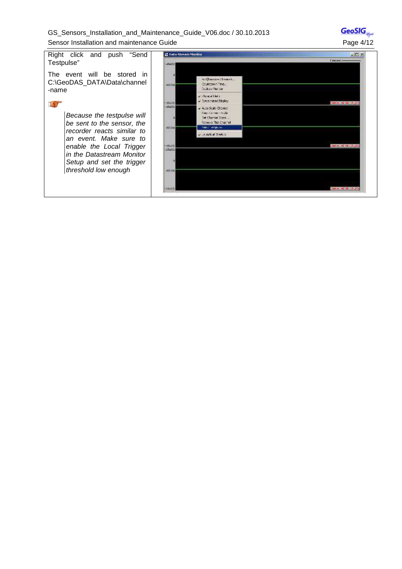|  |  | GS Sensors Installation and Maintenance Guide V06.doc / 30.10.2013 |  |  |
|--|--|--------------------------------------------------------------------|--|--|
|  |  | Sensor Installation and maintenance Guide                          |  |  |

 $\overline{\text{Geo} SIG}_{\psi^\omega}$ Page 4/12

Right click and push "Send Testpulse" The event will be stored in C:\GeoDAS\_DATA\Data\channel

#### **a**

-name

Because the testpulse will be sent to the sensor, the recorder reacts similar to an event. Make sure to enable the Local Trigger in the Datastream Monitor Setup and set the trigger threshold low enough

| <b>12 Data Stream Monitor</b> |                                                                                                               | $ \Box$ $\times$    |
|-------------------------------|---------------------------------------------------------------------------------------------------------------|---------------------|
| 154012                        |                                                                                                               | Tread -             |
| 0 <br>49400                   | And Recruze Channais<br>Countdown Time<br>Recibeut Worldow                                                    |                     |
| <b>PENTIC</b>                 | with panel Links<br>v Syntronised Display:                                                                    | Station ABTOCYCROD) |
| ACADE2<br>$\sqrt{2}$          | v. Auto Scale Chennel<br>Keep Comers Soulet<br>Tel: Channel State 1<br>Remove This Channel<br>nato l'estponi. |                     |
| $-0.0198$                     | v. Ainch at Starbup.                                                                                          |                     |
| 5,694,000                     |                                                                                                               | 20095-A0100101-020  |
| $125 + 632$<br>$\omega$       |                                                                                                               |                     |
| 6400                          |                                                                                                               |                     |
|                               |                                                                                                               |                     |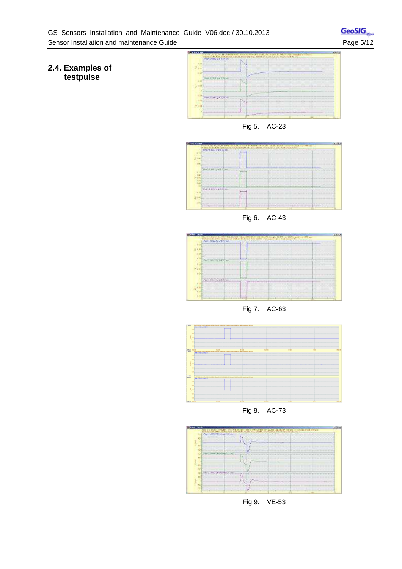

 $\mathsf{GeoSIG}_{\psi^\omega}$ 

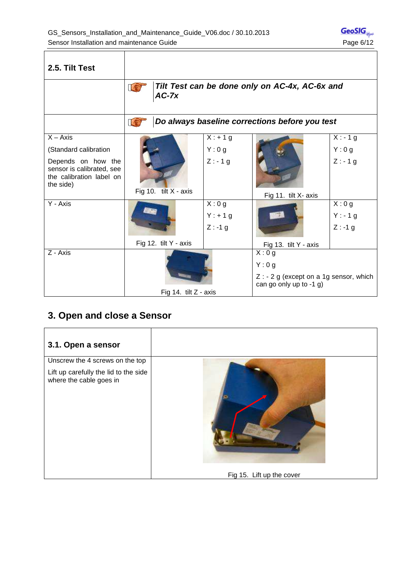$\overline{\phantom{a}}$ 

| 2.5. Tilt Test                                                                           |                         |            |                                                                                    |            |
|------------------------------------------------------------------------------------------|-------------------------|------------|------------------------------------------------------------------------------------|------------|
|                                                                                          | Ie<br>$AC-7x$           |            | Tilt Test can be done only on AC-4x, AC-6x and                                     |            |
|                                                                                          |                         |            | Do always baseline corrections before you test                                     |            |
| $X - Axis$                                                                               |                         | $X: + 1 g$ |                                                                                    | $X: -1g$   |
| (Standard calibration                                                                    |                         | Y:0g       |                                                                                    | Y:0g       |
| Depends on how the<br>sensor is calibrated, see<br>the calibration label on<br>the side) | Fig 10. tilt X - axis   | $Z: -1 g$  | Fig 11. tilt X- axis                                                               | $Z: -1 g$  |
| Y - Axis                                                                                 |                         | X:0g       |                                                                                    | X:0g       |
|                                                                                          |                         | $Y: + 1 g$ |                                                                                    | $Y: -1g$   |
|                                                                                          |                         | $Z : -1 g$ |                                                                                    | $Z : -1 g$ |
|                                                                                          | Fig 12. tilt Y - axis   |            | Fig 13. tilt Y - axis                                                              |            |
| Z - Axis                                                                                 |                         |            | X:0g<br>Y:0g<br>$Z: -2 g$ (except on a 1g sensor, which<br>can go only up to -1 g) |            |
|                                                                                          | Fig 14. tilt $Z$ - axis |            |                                                                                    |            |

## **3. Open and close a Sensor**

\_<del>\_\_\_\_\_\_\_\_\_\_\_\_\_\_\_\_\_\_\_\_\_\_\_\_\_\_\_\_\_</del>

| 3.1. Open a sensor                                               |                           |
|------------------------------------------------------------------|---------------------------|
| Unscrew the 4 screws on the top                                  |                           |
| Lift up carefully the lid to the side<br>where the cable goes in |                           |
|                                                                  | Fig 15. Lift up the cover |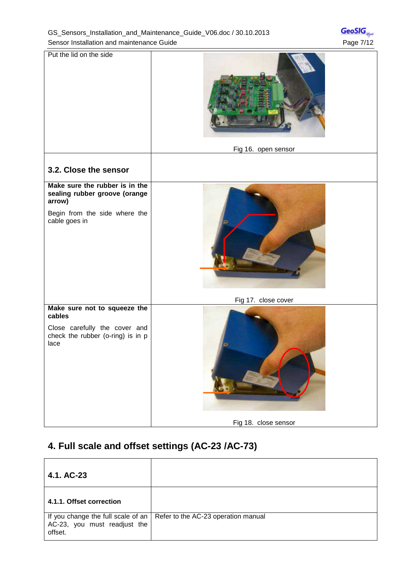$\overline{\text{Geo} SIG}_{\text{sym}}$ 

| Put the lid on the side                                                                                                     | Fig 16. open sensor  |
|-----------------------------------------------------------------------------------------------------------------------------|----------------------|
| 3.2. Close the sensor                                                                                                       |                      |
| Make sure the rubber is in the<br>sealing rubber groove (orange<br>arrow)<br>Begin from the side where the<br>cable goes in |                      |
|                                                                                                                             | Fig 17. close cover  |
| Make sure not to squeeze the<br>cables<br>Close carefully the cover and<br>check the rubber (o-ring) is in p<br>lace        | Fig 18. close sensor |
|                                                                                                                             |                      |

## **4. Full scale and offset settings (AC-23 /AC-73)**

| 4.1. AC-23                              |                                                                          |
|-----------------------------------------|--------------------------------------------------------------------------|
| 4.1.1. Offset correction                |                                                                          |
| AC-23, you must readjust the<br>offset. | If you change the full scale of an   Refer to the AC-23 operation manual |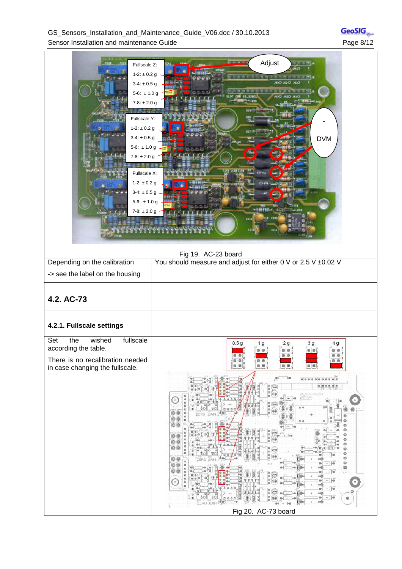GS\_Sensors\_Installation\_and\_Maintenance\_Guide\_V06.doc / 30.10.2013 Sensor Installation and maintenance Guide **Page 8/12** Page 8/12

| Fullscale Z:<br>$1-2: \pm 0.2$ g<br>$3-4: \pm 0.5$ g<br>5-6: $\pm 1.0$ g<br>$7-8: \pm 2.0$ g<br>Fullscale Y:<br>$1-2: \pm 0.2$ g<br>$3-4: \pm 0.5$ g<br>5-6: $\pm$ 1.0 g<br>$7-8: \pm 2.0$ g<br>Fullscale X:<br>$1-2: \pm 0.2$ g<br>$3-4: \pm 0.5$ g<br>5-6: $\pm$ 1.0 g<br>$7-8: \pm 2.0$ g<br>they all the rights<br>Tikezy | Adjust<br><b>DSEC USE</b><br><b>DVM</b><br>G<br>بالكاتين وبالنابل<br><b>HELMISTH</b><br><b>Co</b> -ft<br><b>Junet</b><br>0113<br>Fig 19. AC-23 board                                                                                                                                                                                                 |
|-------------------------------------------------------------------------------------------------------------------------------------------------------------------------------------------------------------------------------------------------------------------------------------------------------------------------------|------------------------------------------------------------------------------------------------------------------------------------------------------------------------------------------------------------------------------------------------------------------------------------------------------------------------------------------------------|
| Depending on the calibration                                                                                                                                                                                                                                                                                                  | You should measure and adjust for either 0 V or 2.5 V ±0.02 V                                                                                                                                                                                                                                                                                        |
| -> see the label on the housing                                                                                                                                                                                                                                                                                               |                                                                                                                                                                                                                                                                                                                                                      |
| 4.2. AC-73<br>4.2.1. Fullscale settings                                                                                                                                                                                                                                                                                       |                                                                                                                                                                                                                                                                                                                                                      |
| fullscale<br>Set<br>the<br>wished<br>according the table.<br>There is no recalibration needed<br>in case changing the fullscale.                                                                                                                                                                                              | 0.5 <sub>g</sub><br>2g<br>3g<br>1 <sub>g</sub><br>4g<br>$\begin{array}{c} \circ \\ \circ \\ \circ \end{array}$<br>00<br>00<br>a.<br>$\circ$<br>ø<br>ø<br>@ 图<br>$+ - 14$<br>o<br>ø<br>00<br>00<br>o<br>ō<br>Ò<br>o<br>Ó<br>Ġ<br>Ó<br>o<br>$+140$<br>ø<br>+ 1 1 + 0<br>$+$ $ 0$<br>$+ 10$<br>Ò<br>٥<br>ত<br>$+16$<br>000<br>۱Ø<br>Fig 20. AC-73 board |

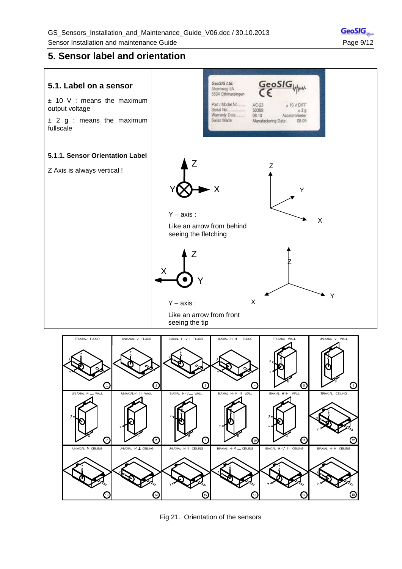## **5. Sensor label and orientation**





Fig 21. Orientation of the sensors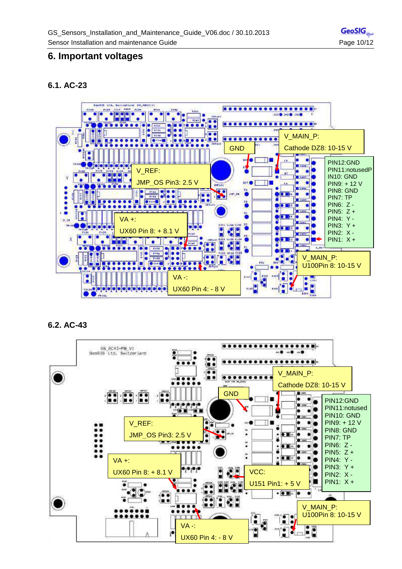## **6. Important voltages**

### **6.1. AC-23**



### **6.2. AC-43**

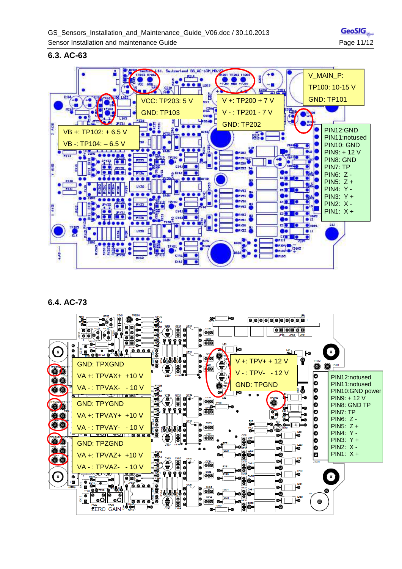

#### **6.3. AC-63**



## **6.4. AC-73**